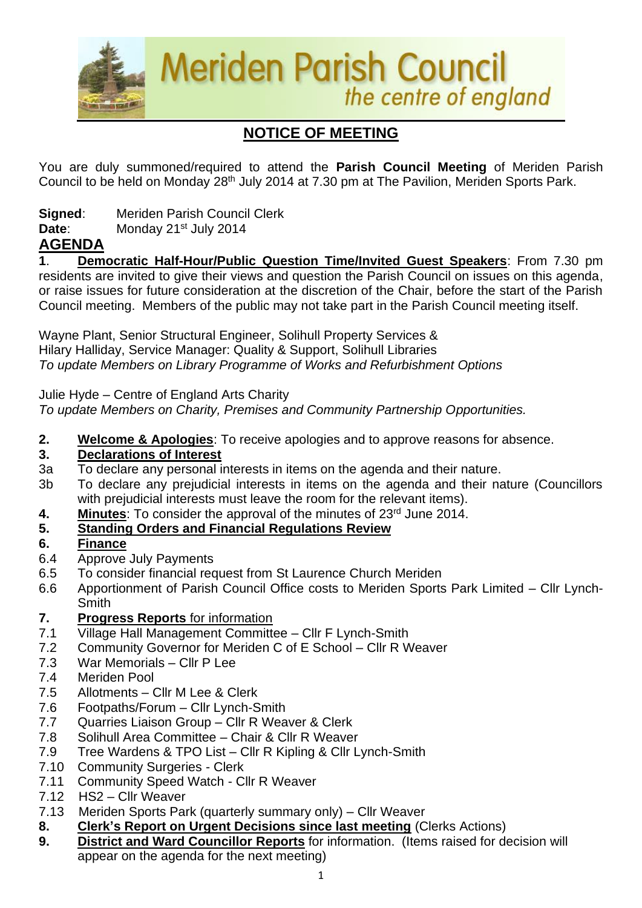

# **NOTICE OF MEETING**

You are duly summoned/required to attend the **Parish Council Meeting** of Meriden Parish Council to be held on Monday 28<sup>th</sup> July 2014 at 7.30 pm at The Pavilion, Meriden Sports Park.

**Signed**: Meriden Parish Council Clerk

**Date:** Monday 21<sup>st</sup> July 2014

### **AGENDA**

**1**. **Democratic Half-Hour/Public Question Time/Invited Guest Speakers**: From 7.30 pm residents are invited to give their views and question the Parish Council on issues on this agenda, or raise issues for future consideration at the discretion of the Chair, before the start of the Parish Council meeting. Members of the public may not take part in the Parish Council meeting itself.

Wayne Plant, Senior Structural Engineer, Solihull Property Services & Hilary Halliday, Service Manager: Quality & Support, Solihull Libraries *To update Members on Library Programme of Works and Refurbishment Options*

Julie Hyde – Centre of England Arts Charity

*To update Members on Charity, Premises and Community Partnership Opportunities.*

**2. Welcome & Apologies**: To receive apologies and to approve reasons for absence.

### **3. Declarations of Interest**

- 3a To declare any personal interests in items on the agenda and their nature.
- 3b To declare any prejudicial interests in items on the agenda and their nature (Councillors with prejudicial interests must leave the room for the relevant items).
- **4. Minutes:** To consider the approval of the minutes of 23<sup>rd</sup> June 2014.

### **5. Standing Orders and Financial Regulations Review**

### **6. Finance**

- 6.4 Approve July Payments
- 6.5 To consider financial request from St Laurence Church Meriden
- 6.6 Apportionment of Parish Council Office costs to Meriden Sports Park Limited Cllr Lynch-**Smith**
- **7. Progress Reports** for information
- 7.1 Village Hall Management Committee Cllr F Lynch-Smith
- 7.2 Community Governor for Meriden C of E School Cllr R Weaver
- 7.3 War Memorials Cllr P Lee
- 7.4 Meriden Pool
- 7.5 Allotments Cllr M Lee & Clerk
- 7.6 Footpaths/Forum Cllr Lynch-Smith
- 7.7 Quarries Liaison Group Cllr R Weaver & Clerk
- 7.8 Solihull Area Committee Chair & Cllr R Weaver
- 7.9 Tree Wardens & TPO List Cllr R Kipling & Cllr Lynch-Smith
- 7.10 Community Surgeries Clerk
- 7.11 Community Speed Watch Cllr R Weaver
- 7.12 HS2 Cllr Weaver
- 7.13Meriden Sports Park (quarterly summary only) Cllr Weaver
- **8. Clerk's Report on Urgent Decisions since last meeting** (Clerks Actions)
- **9. District and Ward Councillor Reports** for information. (Items raised for decision will appear on the agenda for the next meeting)